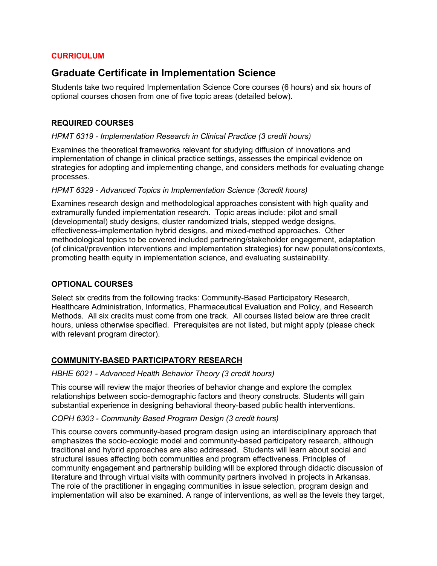#### **CURRICULUM**

# **Graduate Certificate in Implementation Science**

Students take two required Implementation Science Core courses (6 hours) and six hours of optional courses chosen from one of five topic areas (detailed below).

# **REQUIRED COURSES**

#### *HPMT 6319 - Implementation Research in Clinical Practice (3 credit hours)*

Examines the theoretical frameworks relevant for studying diffusion of innovations and implementation of change in clinical practice settings, assesses the empirical evidence on strategies for adopting and implementing change, and considers methods for evaluating change processes.

#### *HPMT 6329 - Advanced Topics in Implementation Science (3credit hours)*

Examines research design and methodological approaches consistent with high quality and extramurally funded implementation research. Topic areas include: pilot and small (developmental) study designs, cluster randomized trials, stepped wedge designs, effectiveness-implementation hybrid designs, and mixed-method approaches. Other methodological topics to be covered included partnering/stakeholder engagement, adaptation (of clinical/prevention interventions and implementation strategies) for new populations/contexts, promoting health equity in implementation science, and evaluating sustainability.

#### **OPTIONAL COURSES**

Select six credits from the following tracks: Community-Based Participatory Research, Healthcare Administration, Informatics, Pharmaceutical Evaluation and Policy, and Research Methods. All six credits must come from one track. All courses listed below are three credit hours, unless otherwise specified. Prerequisites are not listed, but might apply (please check with relevant program director).

#### **COMMUNITY-BASED PARTICIPATORY RESEARCH**

#### *HBHE 6021 - Advanced Health Behavior Theory (3 credit hours)*

This course will review the major theories of behavior change and explore the complex relationships between socio-demographic factors and theory constructs. Students will gain substantial experience in designing behavioral theory-based public health interventions.

#### *COPH 6303 - Community Based Program Design (3 credit hours)*

This course covers community-based program design using an interdisciplinary approach that emphasizes the socio-ecologic model and community-based participatory research, although traditional and hybrid approaches are also addressed. Students will learn about social and structural issues affecting both communities and program effectiveness. Principles of community engagement and partnership building will be explored through didactic discussion of literature and through virtual visits with community partners involved in projects in Arkansas. The role of the practitioner in engaging communities in issue selection, program design and implementation will also be examined. A range of interventions, as well as the levels they target,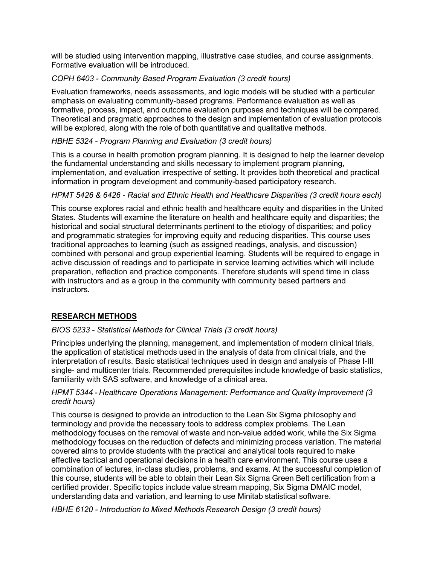will be studied using intervention mapping, illustrative case studies, and course assignments. Formative evaluation will be introduced.

# *COPH 6403 - Community Based Program Evaluation (3 credit hours)*

Evaluation frameworks, needs assessments, and logic models will be studied with a particular emphasis on evaluating community-based programs. Performance evaluation as well as formative, process, impact, and outcome evaluation purposes and techniques will be compared. Theoretical and pragmatic approaches to the design and implementation of evaluation protocols will be explored, along with the role of both quantitative and qualitative methods.

# *HBHE 5324 - Program Planning and Evaluation (3 credit hours)*

This is a course in health promotion program planning. It is designed to help the learner develop the fundamental understanding and skills necessary to implement program planning, implementation, and evaluation irrespective of setting. It provides both theoretical and practical information in program development and community-based participatory research.

# *HPMT 5426 & 6426 - Racial and Ethnic Health and Healthcare Disparities (3 credit hours each)*

This course explores racial and ethnic health and healthcare equity and disparities in the United States. Students will examine the literature on health and healthcare equity and disparities; the historical and social structural determinants pertinent to the etiology of disparities; and policy and programmatic strategies for improving equity and reducing disparities. This course uses traditional approaches to learning (such as assigned readings, analysis, and discussion) combined with personal and group experiential learning. Students will be required to engage in active discussion of readings and to participate in service learning activities which will include preparation, reflection and practice components. Therefore students will spend time in class with instructors and as a group in the community with community based partners and instructors.

# **RESEARCH METHODS**

# *BIOS 5233 - Statistical Methods for Clinical Trials (3 credit hours)*

Principles underlying the planning, management, and implementation of modern clinical trials, the application of statistical methods used in the analysis of data from clinical trials, and the interpretation of results. Basic statistical techniques used in design and analysis of Phase I-III single- and multicenter trials. Recommended prerequisites include knowledge of basic statistics, familiarity with SAS software, and knowledge of a clinical area.

#### *HPMT 5344 - Healthcare Operations Management: Performance and Quality Improvement (3 credit hours)*

This course is designed to provide an introduction to the Lean Six Sigma philosophy and terminology and provide the necessary tools to address complex problems. The Lean methodology focuses on the removal of waste and non-value added work, while the Six Sigma methodology focuses on the reduction of defects and minimizing process variation. The material covered aims to provide students with the practical and analytical tools required to make effective tactical and operational decisions in a health care environment. This course uses a combination of lectures, in-class studies, problems, and exams. At the successful completion of this course, students will be able to obtain their Lean Six Sigma Green Belt certification from a certified provider. Specific topics include value stream mapping, Six Sigma DMAIC model, understanding data and variation, and learning to use Minitab statistical software.

*HBHE 6120 - Introduction to Mixed Methods Research Design (3 credit hours)*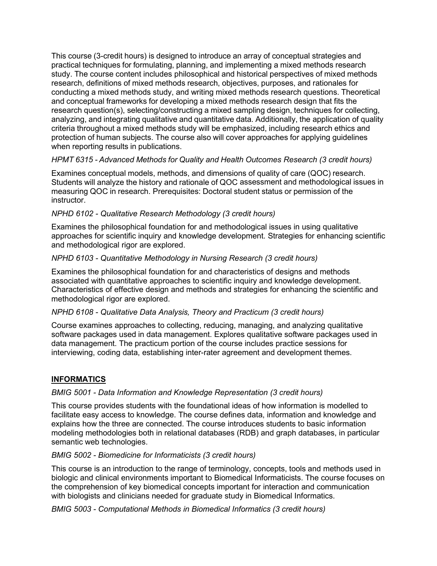This course (3-credit hours) is designed to introduce an array of conceptual strategies and practical techniques for formulating, planning, and implementing a mixed methods research study. The course content includes philosophical and historical perspectives of mixed methods research, definitions of mixed methods research, objectives, purposes, and rationales for conducting a mixed methods study, and writing mixed methods research questions. Theoretical and conceptual frameworks for developing a mixed methods research design that fits the research question(s), selecting/constructing a mixed sampling design, techniques for collecting, analyzing, and integrating qualitative and quantitative data. Additionally, the application of quality criteria throughout a mixed methods study will be emphasized, including research ethics and protection of human subjects. The course also will cover approaches for applying guidelines when reporting results in publications.

# *HPMT 6315 - Advanced Methods for Quality and Health Outcomes Research (3 credit hours)*

Examines conceptual models, methods, and dimensions of quality of care (QOC) research. Students will analyze the history and rationale of QOC assessment and methodological issues in measuring QOC in research. Prerequisites: Doctoral student status or permission of the instructor.

# *NPHD 6102 - Qualitative Research Methodology (3 credit hours)*

Examines the philosophical foundation for and methodological issues in using qualitative approaches for scientific inquiry and knowledge development. Strategies for enhancing scientific and methodological rigor are explored.

# *NPHD 6103 - Quantitative Methodology in Nursing Research (3 credit hours)*

Examines the philosophical foundation for and characteristics of designs and methods associated with quantitative approaches to scientific inquiry and knowledge development. Characteristics of effective design and methods and strategies for enhancing the scientific and methodological rigor are explored.

#### *NPHD 6108 - Qualitative Data Analysis, Theory and Practicum (3 credit hours)*

Course examines approaches to collecting, reducing, managing, and analyzing qualitative software packages used in data management. Explores qualitative software packages used in data management. The practicum portion of the course includes practice sessions for interviewing, coding data, establishing inter-rater agreement and development themes.

# **INFORMATICS**

#### *BMIG 5001 - Data Information and Knowledge Representation (3 credit hours)*

This course provides students with the foundational ideas of how information is modelled to facilitate easy access to knowledge. The course defines data, information and knowledge and explains how the three are connected. The course introduces students to basic information modeling methodologies both in relational databases (RDB) and graph databases, in particular semantic web technologies.

#### *BMIG 5002 - Biomedicine for Informaticists (3 credit hours)*

This course is an introduction to the range of terminology, concepts, tools and methods used in biologic and clinical environments important to Biomedical Informaticists. The course focuses on the comprehension of key biomedical concepts important for interaction and communication with biologists and clinicians needed for graduate study in Biomedical Informatics.

#### *BMIG 5003 - Computational Methods in Biomedical Informatics (3 credit hours)*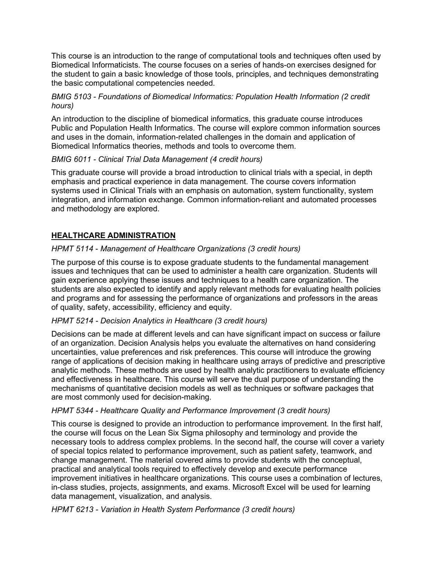This course is an introduction to the range of computational tools and techniques often used by Biomedical Informaticists. The course focuses on a series of hands-on exercises designed for the student to gain a basic knowledge of those tools, principles, and techniques demonstrating the basic computational competencies needed.

#### *BMIG 5103 - Foundations of Biomedical Informatics: Population Health Information (2 credit hours)*

An introduction to the discipline of biomedical informatics, this graduate course introduces Public and Population Health Informatics. The course will explore common information sources and uses in the domain, information-related challenges in the domain and application of Biomedical Informatics theories, methods and tools to overcome them.

# *BMIG 6011 - Clinical Trial Data Management (4 credit hours)*

This graduate course will provide a broad introduction to clinical trials with a special, in depth emphasis and practical experience in data management. The course covers information systems used in Clinical Trials with an emphasis on automation, system functionality, system integration, and information exchange. Common information-reliant and automated processes and methodology are explored.

# **HEALTHCARE ADMINISTRATION**

# *HPMT 5114* - *Management of Healthcare Organizations (3 credit hours)*

The purpose of this course is to expose graduate students to the fundamental management issues and techniques that can be used to administer a health care organization. Students will gain experience applying these issues and techniques to a health care organization. The students are also expected to identify and apply relevant methods for evaluating health policies and programs and for assessing the performance of organizations and professors in the areas of quality, safety, accessibility, efficiency and equity.

#### *HPMT 5214 - Decision Analytics in Healthcare (3 credit hours)*

Decisions can be made at different levels and can have significant impact on success or failure of an organization. Decision Analysis helps you evaluate the alternatives on hand considering uncertainties, value preferences and risk preferences. This course will introduce the growing range of applications of decision making in healthcare using arrays of predictive and prescriptive analytic methods. These methods are used by health analytic practitioners to evaluate efficiency and effectiveness in healthcare. This course will serve the dual purpose of understanding the mechanisms of quantitative decision models as well as techniques or software packages that are most commonly used for decision-making.

#### *HPMT 5344 - Healthcare Quality and Performance Improvement (3 credit hours)*

This course is designed to provide an introduction to performance improvement. In the first half, the course will focus on the Lean Six Sigma philosophy and terminology and provide the necessary tools to address complex problems. In the second half, the course will cover a variety of special topics related to performance improvement, such as patient safety, teamwork, and change management. The material covered aims to provide students with the conceptual, practical and analytical tools required to effectively develop and execute performance improvement initiatives in healthcare organizations. This course uses a combination of lectures, in-class studies, projects, assignments, and exams. Microsoft Excel will be used for learning data management, visualization, and analysis.

#### *HPMT 6213 - Variation in Health System Performance (3 credit hours)*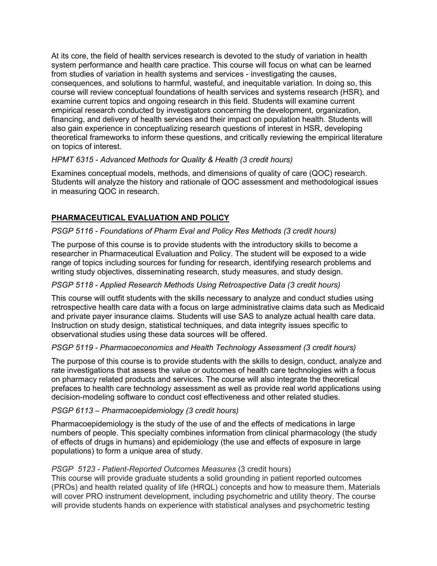At its core, the field of health services research is devoted to the study of variation in health system performance and health care practice. This course will focus on what can be learned from studies of variation in health systems and services - investigating the causes, consequences, and solutions to harmful, wasteful, and inequitable variation. In doing so, this course will review conceptual foundations of health services and systems research (HSR), and examine current topics and ongoing research in this field. Students will examine current empirical research conducted by investigators concerning the development, organization, financing, and delivery of health services and their impact on population health. Students will also gain experience in conceptualizing research questions of interest in HSR, developing theoretical frameworks to inform these questions, and critically reviewing the empirical literature on topics of interest.

#### *HPMT 6315 - Advanced Methods for Quality & Health (3 credit hours)*

Examines conceptual models, methods, and dimensions of quality of care (QOC) research. Students will analyze the history and rationale of QOC assessment and methodological issues in measuring QOC in research.

# **PHARMACEUTICAL EVALUATION AND POLICY**

# *PSGP 5116 - Foundations of Pharm Eval and Policy Res Methods (3 credit hours)*

The purpose of this course is to provide students with the introductory skills to become a researcher in Pharmaceutical Evaluation and Policy. The student will be exposed to a wide range of topics including sources for funding for research, identifying research problems and writing study objectives, disseminating research, study measures, and study design.

#### *PSGP 5118 - Applied Research Methods Using Retrospective Data (3 credit hours)*

This course will outfit students with the skills necessary to analyze and conduct studies using retrospective health care data with a focus on large administrative claims data such as Medicaid and private payer insurance claims. Students will use SAS to analyze actual health care data. Instruction on study design, statistical techniques, and data integrity issues specific to observational studies using these data sources will be offered.

#### *PSGP 5119 - Pharmacoeconomics and Health Technology Assessment (3 credit hours)*

The purpose of this course is to provide students with the skills to design, conduct, analyze and rate investigations that assess the value or outcomes of health care technologies with a focus on pharmacy related products and services. The course will also integrate the theoretical prefaces to health care technology assessment as well as provide real world applications using decision-modeling software to conduct cost effectiveness and other related studies.

#### *PSGP 6113 – Pharmacoepidemiology (3 credit hours)*

Pharmacoepidemiology is the study of the use of and the effects of medications in large numbers of people. This specialty combines information from clinical pharmacology (the study of effects of drugs in humans) and epidemiology (the use and effects of exposure in large populations) to form a unique area of study.

#### *PSGP 5123 - Patient-Reported Outcomes Measures* (3 credit hours)

This course will provide graduate students a solid grounding in patient reported outcomes (PROs) and health related quality of life (HRQL) concepts and how to measure them. Materials will cover PRO instrument development, including psychometric and utility theory. The course will provide students hands on experience with statistical analyses and psychometric testing